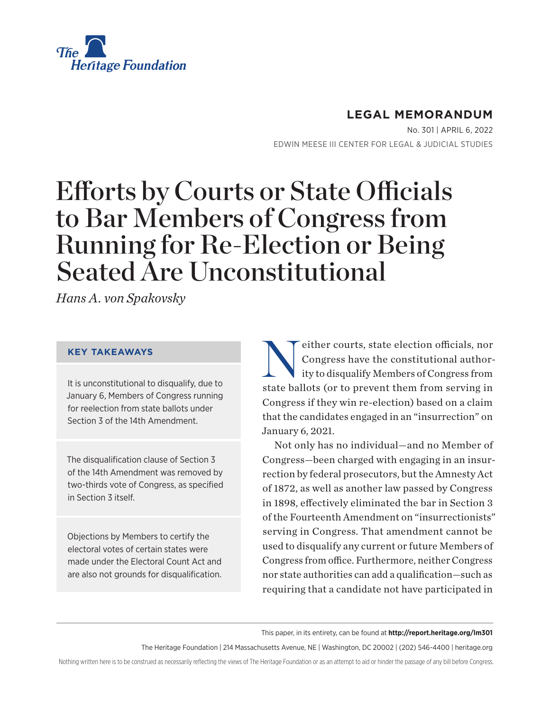

# **LEGAL MEMORANDUM**

No. 301 | April 6, 2022 EDWIN MEESE III CENTER FOR LEGAL & JUDICIAL STUDIES

# Efforts by Courts or State Officials to Bar Members of Congress from Running for Re-Election or Being Seated Are Unconstitutional

*Hans A. von Spakovsky*

#### **KEY TAKEAWAYS**

It is unconstitutional to disqualify, due to January 6, Members of Congress running for reelection from state ballots under Section 3 of the 14th Amendment.

The disqualification clause of Section 3 of the 14th Amendment was removed by two-thirds vote of Congress, as specified in Section 3 itself.

Objections by Members to certify the electoral votes of certain states were made under the Electoral Count Act and are also not grounds for disqualification. either courts, state election officials, nor<br>Congress have the constitutional author-<br>ity to disqualify Members of Congress from Congress have the constitutional authority to disqualify Members of Congress from state ballots (or to prevent them from serving in Congress if they win re-election) based on a claim that the candidates engaged in an "insurrection" on January 6, 2021.

Not only has no individual—and no Member of Congress—been charged with engaging in an insurrection by federal prosecutors, but the Amnesty Act of 1872, as well as another law passed by Congress in 1898, effectively eliminated the bar in Section 3 of the Fourteenth Amendment on "insurrectionists" serving in Congress. That amendment cannot be used to disqualify any current or future Members of Congress from office. Furthermore, neither Congress nor state authorities can add a qualification—such as requiring that a candidate not have participated in

This paper, in its entirety, can be found at **http://report.heritage.org/lm301**

The Heritage Foundation | 214 Massachusetts Avenue, NE | Washington, DC 20002 | (202) 546-4400 | heritage.org

Nothing written here is to be construed as necessarily reflecting the views of The Heritage Foundation or as an attempt to aid or hinder the passage of any bill before Congress.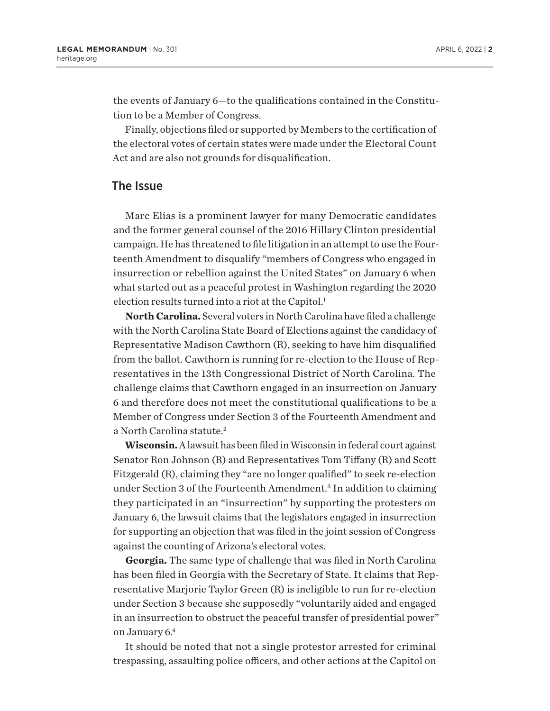<span id="page-1-0"></span>the events of January 6—to the qualifications contained in the Constitution to be a Member of Congress.

Finally, objections filed or supported by Members to the certification of the electoral votes of certain states were made under the Electoral Count Act and are also not grounds for disqualification.

### The Issue

Marc Elias is a prominent lawyer for many Democratic candidates and the former general counsel of the 2016 Hillary Clinton presidential campaign. He has threatened to file litigation in an attempt to use the Fourteenth Amendment to disqualify "members of Congress who engaged in insurrection or rebellion against the United States" on January 6 when what started out as a peaceful protest in Washington regarding the 2020 election results turned into a riot at the Capitol.<sup>[1](#page-13-0)</sup>

**North Carolina.** Several voters in North Carolina have filed a challenge with the North Carolina State Board of Elections against the candidacy of Representative Madison Cawthorn (R), seeking to have him disqualified from the ballot. Cawthorn is running for re-election to the House of Representatives in the 13th Congressional District of North Carolina. The challenge claims that Cawthorn engaged in an insurrection on January 6 and therefore does not meet the constitutional qualifications to be a Member of Congress under Section 3 of the Fourteenth Amendment and a North Carolina statute.[2](#page-13-0)

**Wisconsin.** A lawsuit has been filed in Wisconsin in federal court against Senator Ron Johnson (R) and Representatives Tom Tiffany (R) and Scott Fitzgerald (R), claiming they "are no longer qualified" to seek re-election under Section [3](#page-13-0) of the Fourteenth Amendment.<sup>3</sup> In addition to claiming they participated in an "insurrection" by supporting the protesters on January 6, the lawsuit claims that the legislators engaged in insurrection for supporting an objection that was filed in the joint session of Congress against the counting of Arizona's electoral votes.

**Georgia.** The same type of challenge that was filed in North Carolina has been filed in Georgia with the Secretary of State. It claims that Representative Marjorie Taylor Green (R) is ineligible to run for re-election under Section 3 because she supposedly "voluntarily aided and engaged in an insurrection to obstruct the peaceful transfer of presidential power" on January 6[.4](#page-13-0)

It should be noted that not a single protestor arrested for criminal trespassing, assaulting police officers, and other actions at the Capitol on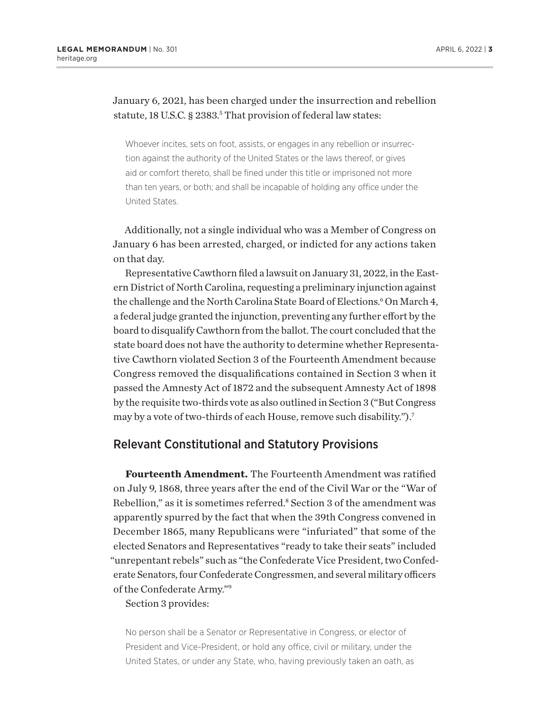### <span id="page-2-0"></span>January 6, 2021, has been charged under the insurrection and rebellion statute, 18 U.S.C. § 2383.<sup>5</sup> That provision of federal law states:

Whoever incites, sets on foot, assists, or engages in any rebellion or insurrection against the authority of the United States or the laws thereof, or gives aid or comfort thereto, shall be fined under this title or imprisoned not more than ten years, or both; and shall be incapable of holding any office under the United States.

Additionally, not a single individual who was a Member of Congress on January 6 has been arrested, charged, or indicted for any actions taken on that day.

Representative Cawthorn filed a lawsuit on January 31, 2022, in the Eastern District of North Carolina, requesting a preliminary injunction against the challenge and the North Carolina State Board of Elections.<sup>6</sup> On March 4, a federal judge granted the injunction, preventing any further effort by the board to disqualify Cawthorn from the ballot. The court concluded that the state board does not have the authority to determine whether Representative Cawthorn violated Section 3 of the Fourteenth Amendment because Congress removed the disqualifications contained in Section 3 when it passed the Amnesty Act of 1872 and the subsequent Amnesty Act of 1898 by the requisite two-thirds vote as also outlined in Section 3 ("But Congress may by a vote of two-thirds of each House, remove such disability.")[.7](#page-13-0)

## Relevant Constitutional and Statutory Provisions

**Fourteenth Amendment.** The Fourteenth Amendment was ratified on July 9, 1868, three years after the end of the Civil War or the "War of Rebellion," as it is sometimes referred.<sup>[8](#page-13-0)</sup> Section 3 of the amendment was apparently spurred by the fact that when the 39th Congress convened in December 1865, many Republicans were "infuriated" that some of the elected Senators and Representatives "ready to take their seats" included "unrepentant rebels" such as "the Confederate Vice President, two Confederate Senators, four Confederate Congressmen, and several military officers of the Confederate Army.["9](#page-13-0)

#### Section 3 provides:

No person shall be a Senator or Representative in Congress, or elector of President and Vice-President, or hold any office, civil or military, under the United States, or under any State, who, having previously taken an oath, as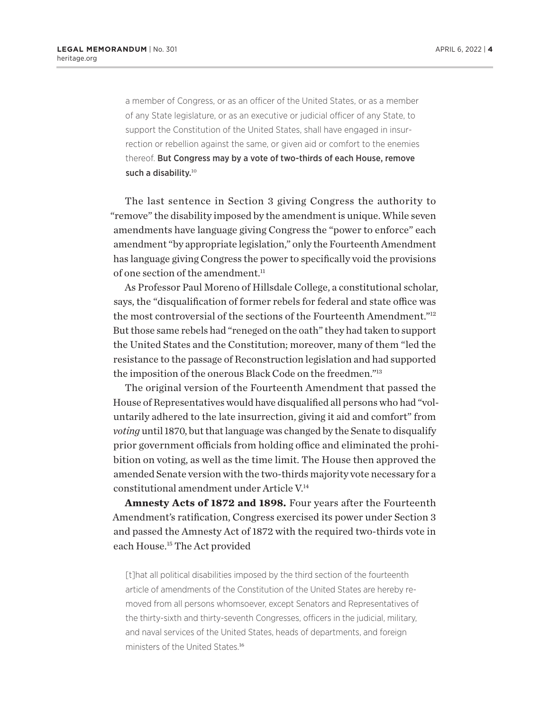<span id="page-3-0"></span>a member of Congress, or as an officer of the United States, or as a member of any State legislature, or as an executive or judicial officer of any State, to support the Constitution of the United States, shall have engaged in insurrection or rebellion against the same, or given aid or comfort to the enemies thereof. But Congress may by a vote of two-thirds of each House, remove such a disability.<sup>[10](#page-13-0)</sup>

The last sentence in Section 3 giving Congress the authority to "remove" the disability imposed by the amendment is unique. While seven amendments have language giving Congress the "power to enforce" each amendment "by appropriate legislation," only the Fourteenth Amendment has language giving Congress the power to specifically void the provisions of one section of the amendment.<sup>[11](#page-13-0)</sup>

As Professor Paul Moreno of Hillsdale College, a constitutional scholar, says, the "disqualification of former rebels for federal and state office was the most controversial of the sections of the Fourteenth Amendment.["12](#page-13-0) But those same rebels had "reneged on the oath" they had taken to support the United States and the Constitution; moreover, many of them "led the resistance to the passage of Reconstruction legislation and had supported the imposition of the onerous Black Code on the freedmen.["13](#page-13-0)

The original version of the Fourteenth Amendment that passed the House of Representatives would have disqualified all persons who had "voluntarily adhered to the late insurrection, giving it aid and comfort" from *voting* until 1870, but that language was changed by the Senate to disqualify prior government officials from holding office and eliminated the prohibition on voting, as well as the time limit. The House then approved the amended Senate version with the two-thirds majority vote necessary for a constitutional amendment under Article V.[14](#page-13-0)

**Amnesty Acts of 1872 and 1898.** Four years after the Fourteenth Amendment's ratification, Congress exercised its power under Section 3 and passed the Amnesty Act of 1872 with the required two-thirds vote in each House.[15](#page-13-0) The Act provided

[t]hat all political disabilities imposed by the third section of the fourteenth article of amendments of the Constitution of the United States are hereby removed from all persons whomsoever, except Senators and Representatives of the thirty-sixth and thirty-seventh Congresses, officers in the judicial, military, and naval services of the United States, heads of departments, and foreign ministers of the United States.[16](#page-13-0)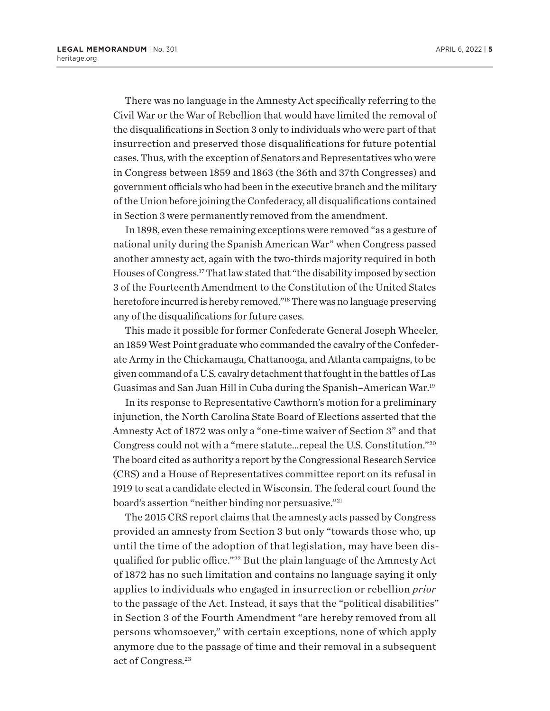<span id="page-4-0"></span>There was no language in the Amnesty Act specifically referring to the Civil War or the War of Rebellion that would have limited the removal of the disqualifications in Section 3 only to individuals who were part of that insurrection and preserved those disqualifications for future potential cases. Thus, with the exception of Senators and Representatives who were in Congress between 1859 and 1863 (the 36th and 37th Congresses) and government officials who had been in the executive branch and the military of the Union before joining the Confederacy, all disqualifications contained in Section 3 were permanently removed from the amendment.

In 1898, even these remaining exceptions were removed "as a gesture of national unity during the Spanish American War" when Congress passed another amnesty act, again with the two-thirds majority required in both Houses of Congress.[17](#page-13-0) That law stated that "the disability imposed by section 3 of the Fourteenth Amendment to the Constitution of the United States heretofore incurred is hereby removed."[18](#page-13-0) There was no language preserving any of the disqualifications for future cases.

This made it possible for former Confederate General Joseph Wheeler, an 1859 West Point graduate who commanded the cavalry of the Confederate Army in the Chickamauga, Chattanooga, and Atlanta campaigns, to be given command of a U.S. cavalry detachment that fought in the battles of Las Guasimas and San Juan Hill in Cuba during the Spanish–American War[.19](#page-13-0)

In its response to Representative Cawthorn's motion for a preliminary injunction, the North Carolina State Board of Elections asserted that the Amnesty Act of 1872 was only a "one-time waiver of Section 3" and that Congress could not with a "mere statute…repeal the U.S. Constitution."[20](#page-13-0) The board cited as authority a report by the Congressional Research Service (CRS) and a House of Representatives committee report on its refusal in 1919 to seat a candidate elected in Wisconsin. The federal court found the board's assertion "neither binding nor persuasive."<sup>[21](#page-13-0)</sup>

The 2015 CRS report claims that the amnesty acts passed by Congress provided an amnesty from Section 3 but only "towards those who, up until the time of the adoption of that legislation, may have been disqualified for public office."[22](#page-13-0) But the plain language of the Amnesty Act of 1872 has no such limitation and contains no language saying it only applies to individuals who engaged in insurrection or rebellion *prior* to the passage of the Act. Instead, it says that the "political disabilities" in Section 3 of the Fourth Amendment "are hereby removed from all persons whomsoever," with certain exceptions, none of which apply anymore due to the passage of time and their removal in a subsequent act of Congress.[23](#page-13-0)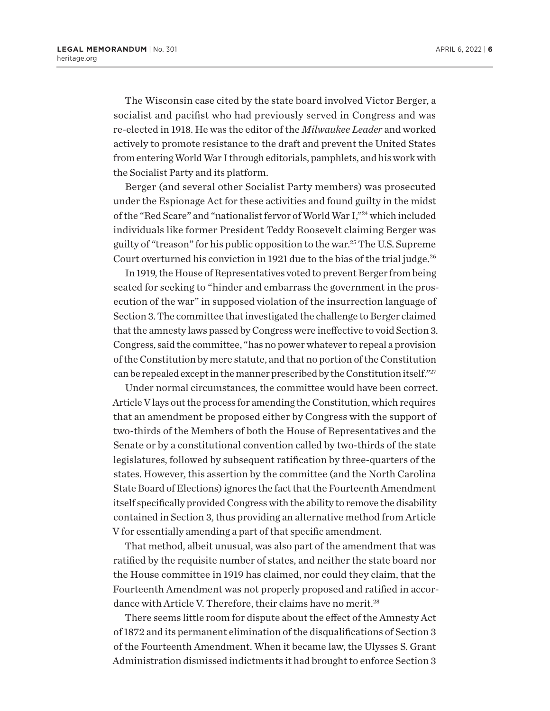<span id="page-5-0"></span>The Wisconsin case cited by the state board involved Victor Berger, a socialist and pacifist who had previously served in Congress and was re-elected in 1918. He was the editor of the *Milwaukee Leader* and worked actively to promote resistance to the draft and prevent the United States from entering World War I through editorials, pamphlets, and his work with the Socialist Party and its platform.

Berger (and several other Socialist Party members) was prosecuted under the Espionage Act for these activities and found guilty in the midst of the "Red Scare" and "nationalist fervor of World War I,"[24](#page-13-0) which included individuals like former President Teddy Roosevelt claiming Berger was guilty of "treason" for his public opposition to the war.[25](#page-13-0) The U.S. Supreme Court overturned his conviction in 1921 due to the bias of the trial judge.<sup>26</sup>

In 1919, the House of Representatives voted to prevent Berger from being seated for seeking to "hinder and embarrass the government in the prosecution of the war" in supposed violation of the insurrection language of Section 3. The committee that investigated the challenge to Berger claimed that the amnesty laws passed by Congress were ineffective to void Section 3. Congress, said the committee, "has no power whatever to repeal a provision of the Constitution by mere statute, and that no portion of the Constitution can be repealed except in the manner prescribed by the Constitution itself.["27](#page-13-0)

Under normal circumstances, the committee would have been correct. Article V lays out the process for amending the Constitution, which requires that an amendment be proposed either by Congress with the support of two-thirds of the Members of both the House of Representatives and the Senate or by a constitutional convention called by two-thirds of the state legislatures, followed by subsequent ratification by three-quarters of the states. However, this assertion by the committee (and the North Carolina State Board of Elections) ignores the fact that the Fourteenth Amendment itself specifically provided Congress with the ability to remove the disability contained in Section 3, thus providing an alternative method from Article V for essentially amending a part of that specific amendment.

That method, albeit unusual, was also part of the amendment that was ratified by the requisite number of states, and neither the state board nor the House committee in 1919 has claimed, nor could they claim, that the Fourteenth Amendment was not properly proposed and ratified in accordance with Article V. Therefore, their claims have no merit.<sup>28</sup>

There seems little room for dispute about the effect of the Amnesty Act of 1872 and its permanent elimination of the disqualifications of Section 3 of the Fourteenth Amendment. When it became law, the Ulysses S. Grant Administration dismissed indictments it had brought to enforce Section 3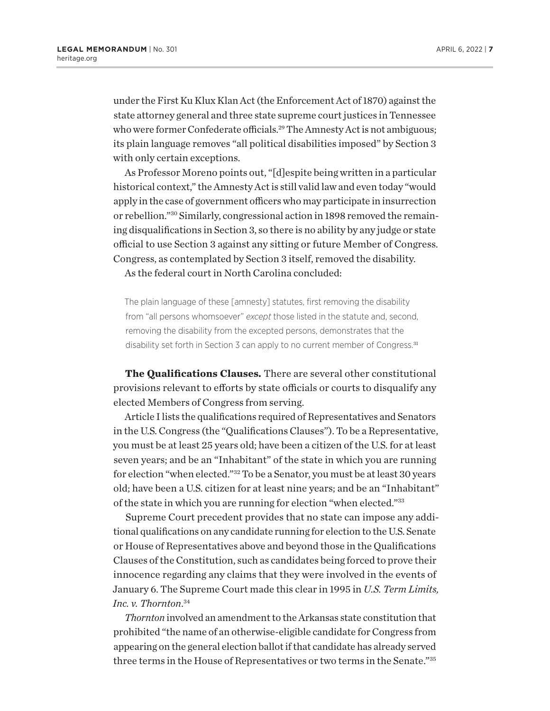<span id="page-6-0"></span>under the First Ku Klux Klan Act (the Enforcement Act of 1870) against the state attorney general and three state supreme court justices in Tennessee who were former Confederate officials.<sup>29</sup> The Amnesty Act is not ambiguous; its plain language removes "all political disabilities imposed" by Section 3 with only certain exceptions.

As Professor Moreno points out, "[d]espite being written in a particular historical context," the Amnesty Act is still valid law and even today "would apply in the case of government officers who may participate in insurrection or rebellion.["30](#page-14-0) Similarly, congressional action in 1898 removed the remaining disqualifications in Section 3, so there is no ability by any judge or state official to use Section 3 against any sitting or future Member of Congress. Congress, as contemplated by Section 3 itself, removed the disability.

As the federal court in North Carolina concluded:

The plain language of these [amnesty] statutes, first removing the disability from "all persons whomsoever" *except* those listed in the statute and, second, removing the disability from the excepted persons, demonstrates that the disability set forth in Section 3 can apply to no current member of Congress.<sup>[31](#page-14-0)</sup>

**The Qualifications Clauses.** There are several other constitutional provisions relevant to efforts by state officials or courts to disqualify any elected Members of Congress from serving.

Article I lists the qualifications required of Representatives and Senators in the U.S. Congress (the "Qualifications Clauses"). To be a Representative, you must be at least 25 years old; have been a citizen of the U.S. for at least seven years; and be an "Inhabitant" of the state in which you are running for election "when elected.["32](#page-14-0) To be a Senator, you must be at least 30 years old; have been a U.S. citizen for at least nine years; and be an "Inhabitant" of the state in which you are running for election "when elected.["33](#page-14-0)

Supreme Court precedent provides that no state can impose any additional qualifications on any candidate running for election to the U.S. Senate or House of Representatives above and beyond those in the Qualifications Clauses of the Constitution, such as candidates being forced to prove their innocence regarding any claims that they were involved in the events of January 6. The Supreme Court made this clear in 1995 in *U.S. Term Limits, Inc. v. Thornton*. [34](#page-14-0)

*Thornton* involved an amendment to the Arkansas state constitution that prohibited "the name of an otherwise-eligible candidate for Congress from appearing on the general election ballot if that candidate has already served three terms in the House of Representatives or two terms in the Senate."[35](#page-14-0)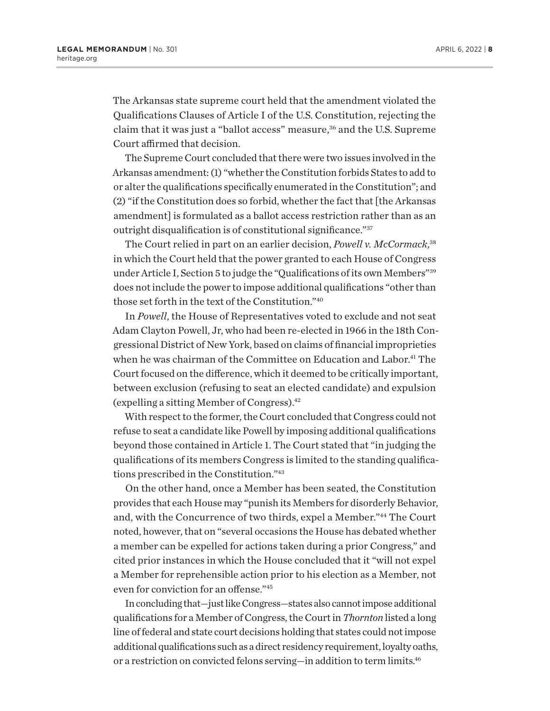<span id="page-7-0"></span>The Arkansas state supreme court held that the amendment violated the Qualifications Clauses of Article I of the U.S. Constitution, rejecting the claim that it was just a "ballot access" measure,<sup>[36](#page-14-0)</sup> and the U.S. Supreme Court affirmed that decision.

The Supreme Court concluded that there were two issues involved in the Arkansas amendment: (1) "whether the Constitution forbids States to add to or alter the qualifications specifically enumerated in the Constitution"; and (2) "if the Constitution does so forbid, whether the fact that [the Arkansas amendment] is formulated as a ballot access restriction rather than as an outright disqualification is of constitutional significance.["37](#page-14-0)

The Court relied in part on an earlier decision, *Powell v. McCormack*, [38](#page-14-0) in which the Court held that the power granted to each House of Congress under Article I, Section 5 to judge the "Qualifications of its own Members"[39](#page-14-0) does not include the power to impose additional qualifications "other than those set forth in the text of the Constitution.["40](#page-14-0)

In *Powell*, the House of Representatives voted to exclude and not seat Adam Clayton Powell, Jr, who had been re-elected in 1966 in the 18th Congressional District of New York, based on claims of financial improprieties when he was chairman of the Committee on Education and Labor.<sup>[41](#page-14-0)</sup> The Court focused on the difference, which it deemed to be critically important, between exclusion (refusing to seat an elected candidate) and expulsion (expelling a sitting Member of Congress)[.42](#page-14-0)

With respect to the former, the Court concluded that Congress could not refuse to seat a candidate like Powell by imposing additional qualifications beyond those contained in Article 1. The Court stated that "in judging the qualifications of its members Congress is limited to the standing qualifications prescribed in the Constitution.["43](#page-14-0)

On the other hand, once a Member has been seated, the Constitution provides that each House may "punish its Members for disorderly Behavior, and, with the Concurrence of two thirds, expel a Member.["44](#page-14-0) The Court noted, however, that on "several occasions the House has debated whether a member can be expelled for actions taken during a prior Congress," and cited prior instances in which the House concluded that it "will not expel a Member for reprehensible action prior to his election as a Member, not even for conviction for an offense."[45](#page-14-0)

In concluding that—just like Congress—states also cannot impose additional qualifications for a Member of Congress, the Court in *Thornton* listed a long line of federal and state court decisions holding that states could not impose additional qualifications such as a direct residency requirement, loyalty oaths, or a restriction on convicted felons serving—in addition to term limits[.46](#page-14-0)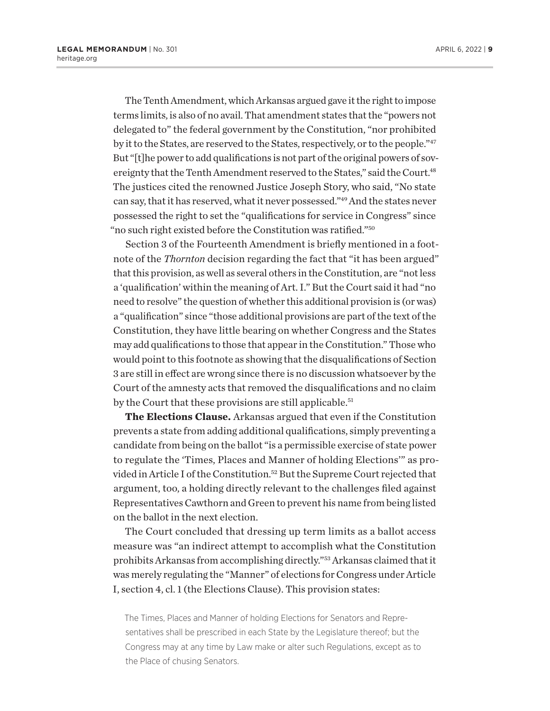<span id="page-8-0"></span>The Tenth Amendment, which Arkansas argued gave it the right to impose terms limits, is also of no avail. That amendment states that the "powers not delegated to" the federal government by the Constitution, "nor prohibited by it to the States, are reserved to the States, respectively, or to the people."<sup>[47](#page-14-0)</sup> But "[t]he power to add qualifications is not part of the original powers of sovereignty that the Tenth Amendment reserved to the States," said the Court.<sup>48</sup> The justices cited the renowned Justice Joseph Story, who said, "No state can say, that it has reserved, what it never possessed."[49](#page-14-0) And the states never possessed the right to set the "qualifications for service in Congress" since "no such right existed before the Constitution was ratified.["50](#page-14-0)

Section 3 of the Fourteenth Amendment is briefly mentioned in a footnote of the *Thornton* decision regarding the fact that "it has been argued" that this provision, as well as several others in the Constitution, are "not less a 'qualification' within the meaning of Art. I." But the Court said it had "no need to resolve" the question of whether this additional provision is (or was) a "qualification" since "those additional provisions are part of the text of the Constitution, they have little bearing on whether Congress and the States may add qualifications to those that appear in the Constitution." Those who would point to this footnote as showing that the disqualifications of Section 3 are still in effect are wrong since there is no discussion whatsoever by the Court of the amnesty acts that removed the disqualifications and no claim by the Court that these provisions are still applicable.<sup>51</sup>

**The Elections Clause.** Arkansas argued that even if the Constitution prevents a state from adding additional qualifications, simply preventing a candidate from being on the ballot "is a permissible exercise of state power to regulate the 'Times, Places and Manner of holding Elections'" as provided in Article I of the Constitution.[52](#page-14-0) But the Supreme Court rejected that argument, too, a holding directly relevant to the challenges filed against Representatives Cawthorn and Green to prevent his name from being listed on the ballot in the next election.

The Court concluded that dressing up term limits as a ballot access measure was "an indirect attempt to accomplish what the Constitution prohibits Arkansas from accomplishing directly."[53](#page-14-0) Arkansas claimed that it was merely regulating the "Manner" of elections for Congress under Article I, section 4, cl. 1 (the Elections Clause). This provision states:

The Times, Places and Manner of holding Elections for Senators and Representatives shall be prescribed in each State by the Legislature thereof; but the Congress may at any time by Law make or alter such Regulations, except as to the Place of chusing Senators.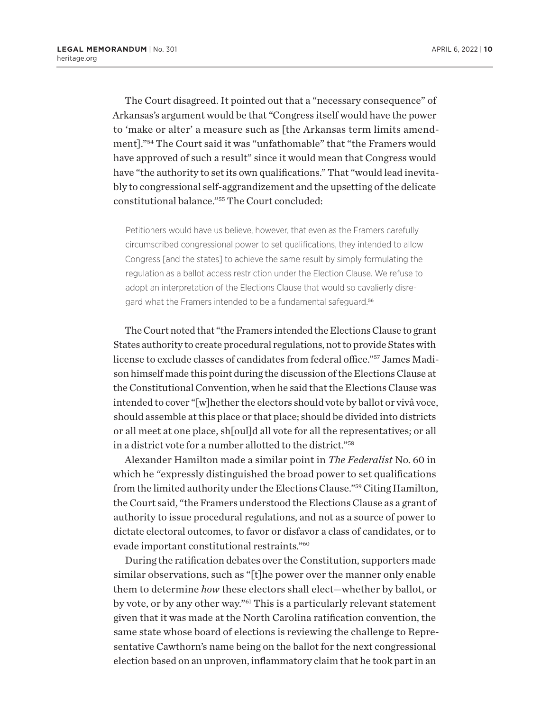<span id="page-9-0"></span>The Court disagreed. It pointed out that a "necessary consequence" of Arkansas's argument would be that "Congress itself would have the power to 'make or alter' a measure such as [the Arkansas term limits amendment]."[54](#page-14-0) The Court said it was "unfathomable" that "the Framers would have approved of such a result" since it would mean that Congress would have "the authority to set its own qualifications." That "would lead inevitably to congressional self-aggrandizement and the upsetting of the delicate constitutional balance."[55](#page-14-0) The Court concluded:

Petitioners would have us believe, however, that even as the Framers carefully circumscribed congressional power to set qualifications, they intended to allow Congress [and the states] to achieve the same result by simply formulating the regulation as a ballot access restriction under the Election Clause. We refuse to adopt an interpretation of the Elections Clause that would so cavalierly disregard what the Framers intended to be a fundamental safeguard.[56](#page-14-0)

The Court noted that "the Framers intended the Elections Clause to grant States authority to create procedural regulations, not to provide States with license to exclude classes of candidates from federal office.["57](#page-14-0) James Madison himself made this point during the discussion of the Elections Clause at the Constitutional Convention, when he said that the Elections Clause was intended to cover "[w]hether the electors should vote by ballot or vivâ voce, should assemble at this place or that place; should be divided into districts or all meet at one place, sh[oul]d all vote for all the representatives; or all in a district vote for a number allotted to the district.["58](#page-14-0)

Alexander Hamilton made a similar point in *The Federalist* No. 60 in which he "expressly distinguished the broad power to set qualifications from the limited authority under the Elections Clause."[59](#page-14-0) Citing Hamilton, the Court said, "the Framers understood the Elections Clause as a grant of authority to issue procedural regulations, and not as a source of power to dictate electoral outcomes, to favor or disfavor a class of candidates, or to evade important constitutional restraints.["60](#page-14-0)

During the ratification debates over the Constitution, supporters made similar observations, such as "[t]he power over the manner only enable them to determine *how* these electors shall elect—whether by ballot, or by vote, or by any other way.["61](#page-14-0) This is a particularly relevant statement given that it was made at the North Carolina ratification convention, the same state whose board of elections is reviewing the challenge to Representative Cawthorn's name being on the ballot for the next congressional election based on an unproven, inflammatory claim that he took part in an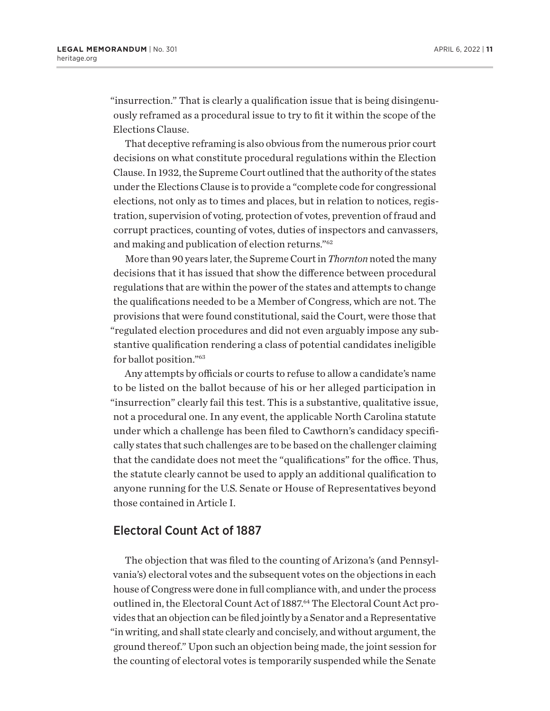<span id="page-10-0"></span>"insurrection." That is clearly a qualification issue that is being disingenuously reframed as a procedural issue to try to fit it within the scope of the Elections Clause.

That deceptive reframing is also obvious from the numerous prior court decisions on what constitute procedural regulations within the Election Clause. In 1932, the Supreme Court outlined that the authority of the states under the Elections Clause is to provide a "complete code for congressional elections, not only as to times and places, but in relation to notices, registration, supervision of voting, protection of votes, prevention of fraud and corrupt practices, counting of votes, duties of inspectors and canvassers, and making and publication of election returns.["62](#page-14-0)

More than 90 years later, the Supreme Court in *Thornton* noted the many decisions that it has issued that show the difference between procedural regulations that are within the power of the states and attempts to change the qualifications needed to be a Member of Congress, which are not. The provisions that were found constitutional, said the Court, were those that "regulated election procedures and did not even arguably impose any substantive qualification rendering a class of potential candidates ineligible for ballot position.["63](#page-14-0)

Any attempts by officials or courts to refuse to allow a candidate's name to be listed on the ballot because of his or her alleged participation in "insurrection" clearly fail this test. This is a substantive, qualitative issue, not a procedural one. In any event, the applicable North Carolina statute under which a challenge has been filed to Cawthorn's candidacy specifically states that such challenges are to be based on the challenger claiming that the candidate does not meet the "qualifications" for the office. Thus, the statute clearly cannot be used to apply an additional qualification to anyone running for the U.S. Senate or House of Representatives beyond those contained in Article I.

### Electoral Count Act of 1887

The objection that was filed to the counting of Arizona's (and Pennsylvania's) electoral votes and the subsequent votes on the objections in each house of Congress were done in full compliance with, and under the process outlined in, the Electoral Count Act of 1887.<sup>[64](#page-14-0)</sup> The Electoral Count Act provides that an objection can be filed jointly by a Senator and a Representative "in writing, and shall state clearly and concisely, and without argument, the ground thereof." Upon such an objection being made, the joint session for the counting of electoral votes is temporarily suspended while the Senate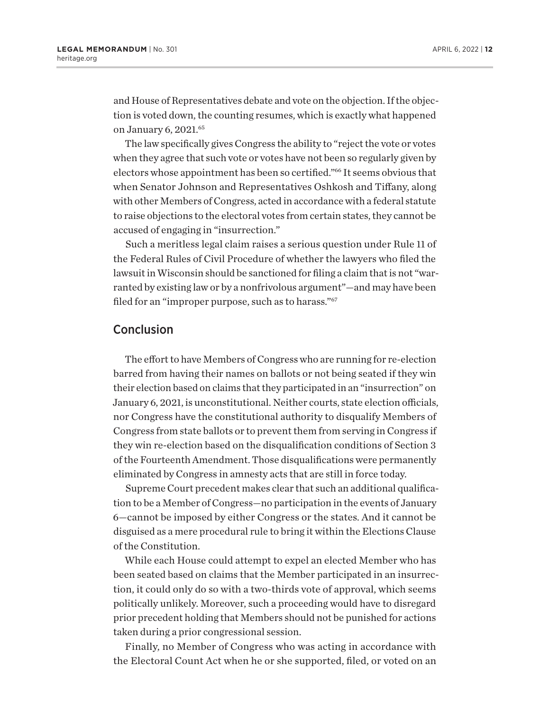<span id="page-11-0"></span>and House of Representatives debate and vote on the objection. If the objection is voted down, the counting resumes, which is exactly what happened on January 6, 2021.<sup>[65](#page-14-0)</sup>

The law specifically gives Congress the ability to "reject the vote or votes when they agree that such vote or votes have not been so regularly given by electors whose appointment has been so certified.["66](#page-14-0) It seems obvious that when Senator Johnson and Representatives Oshkosh and Tiffany, along with other Members of Congress, acted in accordance with a federal statute to raise objections to the electoral votes from certain states, they cannot be accused of engaging in "insurrection."

Such a meritless legal claim raises a serious question under Rule 11 of the Federal Rules of Civil Procedure of whether the lawyers who filed the lawsuit in Wisconsin should be sanctioned for filing a claim that is not "warranted by existing law or by a nonfrivolous argument"—and may have been filed for an "improper purpose, such as to harass."<sup>[67](#page-14-0)</sup>

### Conclusion

The effort to have Members of Congress who are running for re-election barred from having their names on ballots or not being seated if they win their election based on claims that they participated in an "insurrection" on January 6, 2021, is unconstitutional. Neither courts, state election officials, nor Congress have the constitutional authority to disqualify Members of Congress from state ballots or to prevent them from serving in Congress if they win re-election based on the disqualification conditions of Section 3 of the Fourteenth Amendment. Those disqualifications were permanently eliminated by Congress in amnesty acts that are still in force today.

Supreme Court precedent makes clear that such an additional qualification to be a Member of Congress—no participation in the events of January 6—cannot be imposed by either Congress or the states. And it cannot be disguised as a mere procedural rule to bring it within the Elections Clause of the Constitution.

While each House could attempt to expel an elected Member who has been seated based on claims that the Member participated in an insurrection, it could only do so with a two-thirds vote of approval, which seems politically unlikely. Moreover, such a proceeding would have to disregard prior precedent holding that Members should not be punished for actions taken during a prior congressional session.

Finally, no Member of Congress who was acting in accordance with the Electoral Count Act when he or she supported, filed, or voted on an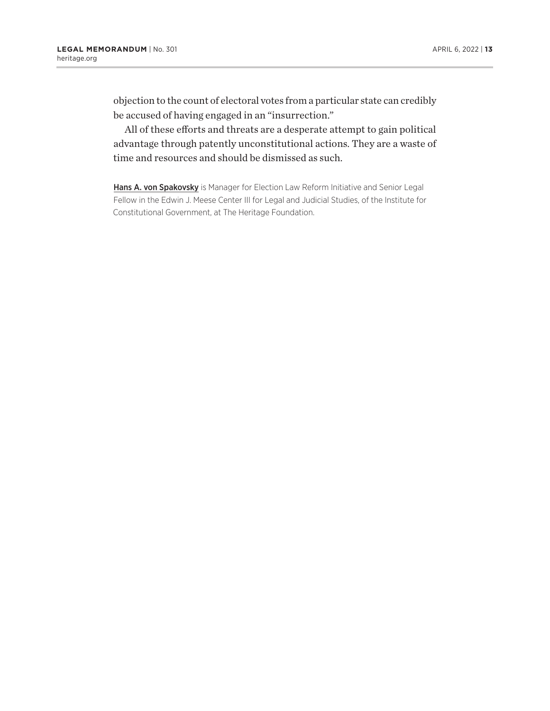objection to the count of electoral votes from a particular state can credibly be accused of having engaged in an "insurrection."

All of these efforts and threats are a desperate attempt to gain political advantage through patently unconstitutional actions. They are a waste of time and resources and should be dismissed as such.

Hans A. von Spakovsky is Manager for Election Law Reform Initiative and Senior Legal Fellow in the Edwin J. Meese Center III for Legal and Judicial Studies, of the Institute for Constitutional Government, at The Heritage Foundation.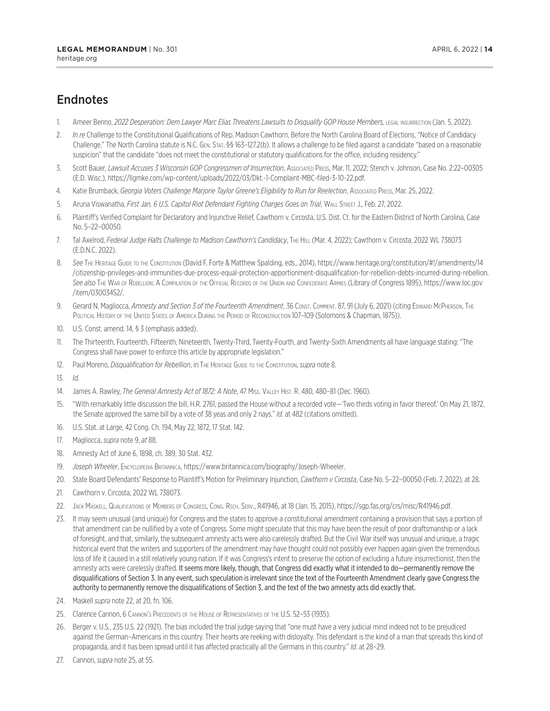## <span id="page-13-0"></span>**Endnotes**

- [1.](#page-1-0) Ameer Benno, 2022 Desperation: Dem Lawyer Marc Elias Threatens Lawsuits to Disqualify GOP House Members, LEGAL INSURRECTION (Jan. 5, 2022).
- [2.](#page-1-0) *In re* Challenge to the Constitutional Qualifications of Rep. Madison Cawthorn, Before the North Carolina Board of Elections, "Notice of Candidacy Challenge." The North Carolina statute is N.C. Gen. Stat. §§ 163–127.2(b). It allows a challenge to be filed against a candidate "based on a reasonable suspicion" that the candidate "does not meet the constitutional or statutory qualifications for the office, including residency."
- [3.](#page-1-0) Scott Bauer, *Lawsuit Accuses 3 Wisconsin GOP Congressmen of Insurrection*, Associated Press, Mar. 11, 2022; Stench v. Johnson, Case No. 2:22–00305 (E.D. Wisc.), https://llgmke.com/wp-content/uploads/2022/03/Dkt.-1-Complaint-MBC-filed-3-10-22.pdf.
- [4.](#page-1-0) Katie Brumback, *Georgia Voters Challenge Marjorie Taylor Greene's Eligibility to Run for Reelection*, Associated Press, Mar. 25, 2022.
- [5](#page-2-0). Aruna Viswanatha, *First Jan. 6 U.S. Capitol Riot Defendant Fighting Charges Goes on Trial*, Wall Street J., Feb. 27, 2022.
- [6](#page-2-0). Plaintiff's Verified Complaint for Declaratory and Injunctive Relief, Cawthorn v. Circosta, U.S. Dist. Ct. for the Eastern District of North Carolina, Case No. 5–22–00050.
- [7.](#page-2-0) Tal Axelrod, Federal Judge Halts Challenge to Madison Cawthorn's Candidacy, THE HILL (Mar. 4, 2022); Cawthorn v. Circosta, 2022 WL 738073 (E.D.N.C. 2022).
- [8](#page-2-0). See THE HERITAGE GUIDE TO THE CONSTITUTION (David F. Forte & Matthew Spalding, eds., 2014), https://www.heritage.org/constitution/#!/amendments/14 /citizenship-privileges-and-immunities-due-process-equal-protection-apportionment-disqualification-for-rebellion-debts-incurred-during-rebellion. *See also* The War of Rebellion: A Compilation of the Official Records of the Union and Confederate Armies (Library of Congress 1895), https://www.loc.gov /item/03003452/.
- [9](#page-2-0). Gerard N. Magliocca, Amnesty and Section 3 of the Fourteenth Amendment, 36 Const. COMMENT. 87, 91 (July 6, 2021) (citing Edward McPherson, The POLITICAL HISTORY OF THE UNITED STATES OF AMERICA DURING THE PERIOD OF RECONSTRUCTION 107-109 (SOlomons & Chapman, 1875)).
- [10.](#page-3-0) U.S. Const. amend. 14, § 3 (emphasis added).
- [11.](#page-3-0) The Thirteenth, Fourteenth, Fifteenth, Nineteenth, Twenty-Third, Twenty-Fourth, and Twenty-Sixth Amendments all have language stating: "The Congress shall have power to enforce this article by appropriate legislation."
- [12](#page-3-0). Paul Moreno, *Disqualification for Rebellion*, in The Heritage Guide to the Constitution, *supra* note 8.
- [13](#page-3-0). *Id.*
- [14.](#page-3-0) James A. Rawley, *The General Amnesty Act of 1872: A Note*, 47 Miss. Valley Hist. R. 480, 480–81 (Dec. 1960).
- [15](#page-3-0). "With remarkably little discussion the bill, H.R. 2761, passed the House without a recorded vote—'Two thirds voting in favor thereof.' On May 21, 1872, the Senate approved the same bill by a vote of 38 yeas and only 2 nays." *Id.* at 482 (citations omitted).
- [16.](#page-3-0) U.S. Stat. at Large, 42 Cong. Ch. 194, May 22, 1872, 17 Stat. 142.
- [17.](#page-4-0) Magliocca, *supra* note 9, *at* 88.
- [18](#page-4-0). Amnesty Act of June 6, 1898, ch. 389, 30 Stat. 432.
- [19.](#page-4-0) *Joseph Wheeler*, Encyclopedia Britannica, https://www.britannica.com/biography/Joseph-Wheeler.
- [20.](#page-4-0) State Board Defendants' Response to Plaintiff's Motion for Preliminary Injunction, *Cawthorn v Circosta*, Case No. 5–22–00050 (Feb. 7, 2022), at 28.
- [21.](#page-4-0) Cawthorn v. Circosta, 2022 WL 738073.
- [22](#page-4-0). Jack Maskell, Qualifications of Members of Congress, Cong. Rsch. Serv., R41946, at 18 (Jan. 15, 2015), https://sgp.fas.org/crs/misc/R41946.pdf.
- [23](#page-4-0). It may seem unusual (and unique) for Congress and the states to approve a constitutional amendment containing a provision that says a portion of that amendment can be nullified by a vote of Congress. Some might speculate that this may have been the result of poor draftsmanship or a lack of foresight, and that, similarly, the subsequent amnesty acts were also carelessly drafted. But the Civil War itself was unusual and unique, a tragic historical event that the writers and supporters of the amendment may have thought could not possibly ever happen again given the tremendous loss of life it caused in a still relatively young nation. If it was Congress's intent to preserve the option of excluding a future insurrectionist, then the amnesty acts were carelessly drafted. It seems more likely, though, that Congress did exactly what it intended to do—permanently remove the disqualifications of Section 3. In any event, such speculation is irrelevant since the text of the Fourteenth Amendment clearly gave Congress the authority to permanently remove the disqualifications of Section 3, and the text of the two amnesty acts did exactly that.
- [24.](#page-5-0) Maskell *supra* note 22, at 20, fn. 106.
- [25](#page-5-0). Clarence Cannon, 6 Cannon's Precedents of the House of Representatives of the U.S. 52–53 (1935).
- [26.](#page-5-0) Berger v. U.S*.*, 235 U.S. 22 (1921). The bias included the trial judge saying that "one must have a very judicial mind indeed not to be prejudiced against the German–Americans in this country. Their hearts are reeking with disloyalty. This defendant is the kind of a man that spreads this kind of propaganda, and it has been spread until it has affected practically all the Germans in this country." *Id*. at 28–29.
- [27.](#page-5-0) Cannon, *supra* note 25, at 55.